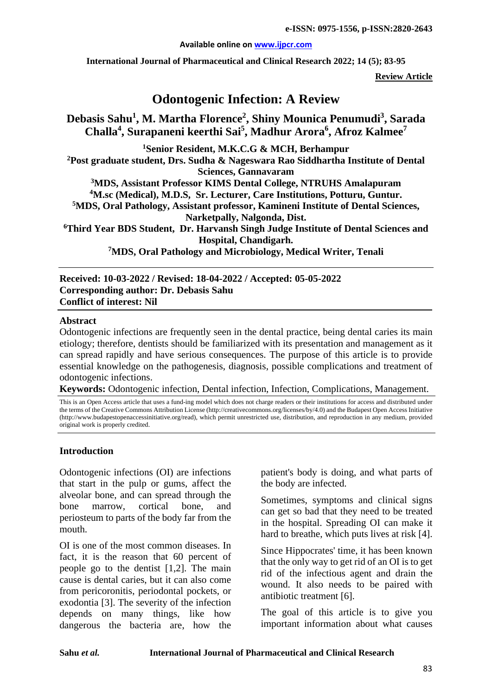#### **Available online on [www.ijpcr.com](http://www.ijpcr.com/)**

**International Journal of Pharmaceutical and Clinical Research 2022; 14 (5); 83-95**

**Review Article**

# **Odontogenic Infection: A Review**

# **Debasis Sahu1 , M. Martha Florence2 , Shiny Mounica Penumudi3 , Sarada Challa4 , Surapaneni keerthi Sai5 , Madhur Arora<sup>6</sup> , Afroz Kalmee7**

**1Senior Resident, M.K.C.G & MCH, Berhampur 2Post graduate student, Drs. Sudha & Nageswara Rao Siddhartha Institute of Dental Sciences, Gannavaram 3MDS, Assistant Professor KIMS Dental College, NTRUHS Amalapuram 4M.sc (Medical), M.D.S, Sr. Lecturer, Care Institutions, Potturu, Guntur. 5MDS, Oral Pathology, Assistant professor, Kamineni Institute of Dental Sciences, Narketpally, Nalgonda, Dist. 6 Third Year BDS Student, Dr. Harvansh Singh Judge Institute of Dental Sciences and Hospital, Chandigarh. 7MDS, Oral Pathology and Microbiology, Medical Writer, Tenali**

**Received: 10-03-2022 / Revised: 18-04-2022 / Accepted: 05-05-2022 Corresponding author: Dr. Debasis Sahu Conflict of interest: Nil**

#### **Abstract**

Odontogenic infections are frequently seen in the dental practice, being dental caries its main etiology; therefore, dentists should be familiarized with its presentation and management as it can spread rapidly and have serious consequences. The purpose of this article is to provide essential knowledge on the pathogenesis, diagnosis, possible complications and treatment of odontogenic infections.

**Keywords:** Odontogenic infection, Dental infection, Infection, Complications, Management.

This is an Open Access article that uses a fund-ing model which does not charge readers or their institutions for access and distributed under the terms of the Creative Commons Attribution License (http://creativecommons.org/licenses/by/4.0) and the Budapest Open Access Initiative (http://www.budapestopenaccessinitiative.org/read), which permit unrestricted use, distribution, and reproduction in any medium, provided original work is properly credited.

#### **Introduction**

Odontogenic infections (OI) are infections that start in the pulp or gums, affect the alveolar bone, and can spread through the bone marrow, cortical bone, and periosteum to parts of the body far from the mouth.

OI is one of the most common diseases. In fact, it is the reason that 60 percent of people go to the dentist [1,2]. The main cause is dental caries, but it can also come from pericoronitis, periodontal pockets, or exodontia [3]. The severity of the infection depends on many things, like how dangerous the bacteria are, how the

patient's body is doing, and what parts of the body are infected.

Sometimes, symptoms and clinical signs can get so bad that they need to be treated in the hospital. Spreading OI can make it hard to breathe, which puts lives at risk [4].

Since Hippocrates' time, it has been known that the only way to get rid of an OI is to get rid of the infectious agent and drain the wound. It also needs to be paired with antibiotic treatment [6].

The goal of this article is to give you important information about what causes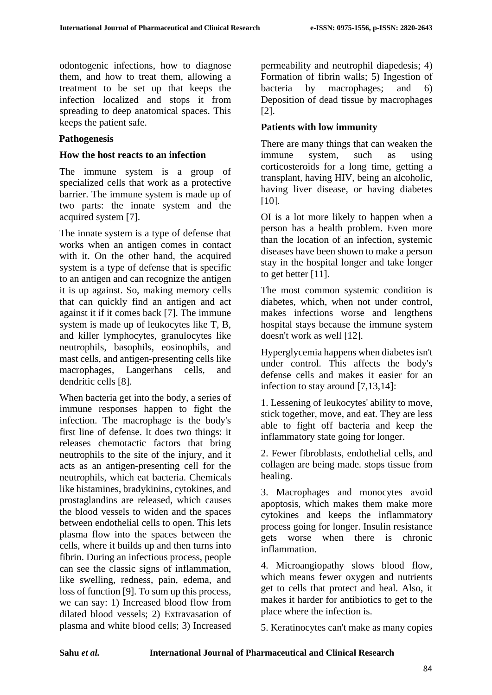odontogenic infections, how to diagnose them, and how to treat them, allowing a treatment to be set up that keeps the infection localized and stops it from spreading to deep anatomical spaces. This keeps the patient safe.

# **Pathogenesis**

### **How the host reacts to an infection**

The immune system is a group of specialized cells that work as a protective barrier. The immune system is made up of two parts: the innate system and the acquired system [7].

The innate system is a type of defense that works when an antigen comes in contact with it. On the other hand, the acquired system is a type of defense that is specific to an antigen and can recognize the antigen it is up against. So, making memory cells that can quickly find an antigen and act against it if it comes back [7]. The immune system is made up of leukocytes like T, B, and killer lymphocytes, granulocytes like neutrophils, basophils, eosinophils, and mast cells, and antigen-presenting cells like macrophages, Langerhans cells, and dendritic cells [8].

When bacteria get into the body, a series of immune responses happen to fight the infection. The macrophage is the body's first line of defense. It does two things: it releases chemotactic factors that bring neutrophils to the site of the injury, and it acts as an antigen-presenting cell for the neutrophils, which eat bacteria. Chemicals like histamines, bradykinins, cytokines, and prostaglandins are released, which causes the blood vessels to widen and the spaces between endothelial cells to open. This lets plasma flow into the spaces between the cells, where it builds up and then turns into fibrin. During an infectious process, people can see the classic signs of inflammation, like swelling, redness, pain, edema, and loss of function [9]. To sum up this process, we can say: 1) Increased blood flow from dilated blood vessels; 2) Extravasation of plasma and white blood cells; 3) Increased permeability and neutrophil diapedesis; 4) Formation of fibrin walls; 5) Ingestion of bacteria by macrophages; and 6) Deposition of dead tissue by macrophages [2].

# **Patients with low immunity**

There are many things that can weaken the immune system, such as using corticosteroids for a long time, getting a transplant, having HIV, being an alcoholic, having liver disease, or having diabetes [10].

OI is a lot more likely to happen when a person has a health problem. Even more than the location of an infection, systemic diseases have been shown to make a person stay in the hospital longer and take longer to get better [11].

The most common systemic condition is diabetes, which, when not under control, makes infections worse and lengthens hospital stays because the immune system doesn't work as well [12].

Hyperglycemia happens when diabetes isn't under control. This affects the body's defense cells and makes it easier for an infection to stay around [7,13,14]:

1. Lessening of leukocytes' ability to move, stick together, move, and eat. They are less able to fight off bacteria and keep the inflammatory state going for longer.

2. Fewer fibroblasts, endothelial cells, and collagen are being made. stops tissue from healing.

3. Macrophages and monocytes avoid apoptosis, which makes them make more cytokines and keeps the inflammatory process going for longer. Insulin resistance gets worse when there is chronic inflammation.

4. Microangiopathy slows blood flow, which means fewer oxygen and nutrients get to cells that protect and heal. Also, it makes it harder for antibiotics to get to the place where the infection is.

5. Keratinocytes can't make as many copies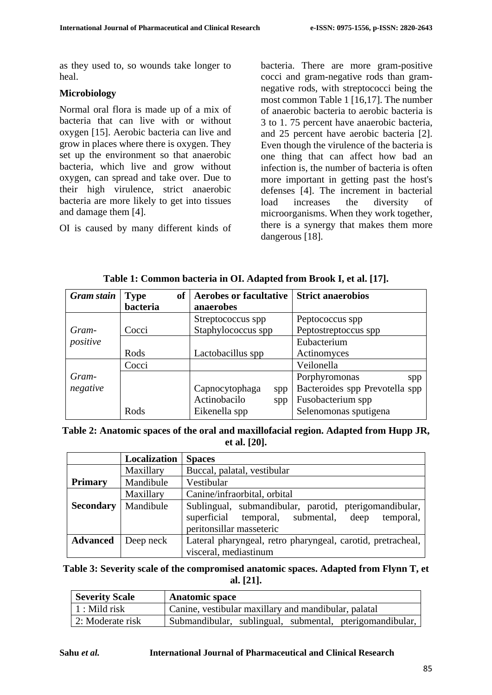as they used to, so wounds take longer to heal.

#### **Microbiology**

Normal oral flora is made up of a mix of bacteria that can live with or without oxygen [15]. Aerobic bacteria can live and grow in places where there is oxygen. They set up the environment so that anaerobic bacteria, which live and grow without oxygen, can spread and take over. Due to their high virulence, strict anaerobic bacteria are more likely to get into tissues and damage them [4].

OI is caused by many different kinds of

bacteria. There are more gram-positive cocci and gram-negative rods than gramnegative rods, with streptococci being the most common Table 1 [16,17]. The number of anaerobic bacteria to aerobic bacteria is 3 to 1. 75 percent have anaerobic bacteria, and 25 percent have aerobic bacteria [2]. Even though the virulence of the bacteria is one thing that can affect how bad an infection is, the number of bacteria is often more important in getting past the host's defenses [4]. The increment in bacterial load increases the diversity of microorganisms. When they work together, there is a synergy that makes them more dangerous [18].

| <b>Gram</b> stain | <b>of</b><br><b>Type</b>    | <b>Aerobes or facultative</b> | <b>Strict anaerobios</b>       |  |
|-------------------|-----------------------------|-------------------------------|--------------------------------|--|
|                   | bacteria                    | anaerobes                     |                                |  |
|                   |                             | Streptococcus spp             | Peptococcus spp                |  |
| Gram-             | Staphylococcus spp<br>Cocci |                               | Peptostreptoccus spp           |  |
| positive          |                             |                               | Eubacterium                    |  |
|                   | Rods                        | Lactobacillus spp             | Actinomyces                    |  |
|                   | Cocci                       |                               | Veilonella                     |  |
| Gram-             |                             |                               | Porphyromonas<br>spp           |  |
| negative          |                             | Capnocytophaga<br>spp         | Bacteroides spp Prevotella spp |  |
|                   |                             | Actinobacilo<br>spp           | Fusobacterium spp              |  |
|                   | Rods                        | Eikenella spp                 | Selenomonas sputigena          |  |

**Table 1: Common bacteria in OI. Adapted from Brook I, et al. [17].**

| Table 2: Anatomic spaces of the oral and maxillofacial region. Adapted from Hupp JR, |  |
|--------------------------------------------------------------------------------------|--|
| et al. $[20]$ .                                                                      |  |

|                  | Localization | <b>Spaces</b>                                                                                                                                  |  |  |
|------------------|--------------|------------------------------------------------------------------------------------------------------------------------------------------------|--|--|
|                  | Maxillary    | Buccal, palatal, vestibular                                                                                                                    |  |  |
| <b>Primary</b>   | Mandibule    | Vestibular                                                                                                                                     |  |  |
|                  | Maxillary    | Canine/infraorbital, orbital                                                                                                                   |  |  |
| <b>Secondary</b> | Mandibule    | Sublingual, submandibular, parotid, pterigomandibular,<br>superficial<br>temporal, submental,<br>temporal,<br>deep<br>peritonsillar masseteric |  |  |
| <b>Advanced</b>  | Deep neck    | Lateral pharyngeal, retro pharyngeal, carotid, pretracheal,                                                                                    |  |  |
|                  |              | visceral, mediastinum                                                                                                                          |  |  |

**Table 3: Severity scale of the compromised anatomic spaces. Adapted from Flynn T, et al. [21].**

| <b>Severity Scale</b> | <b>Anatomic space</b>                                    |  |  |
|-----------------------|----------------------------------------------------------|--|--|
| $\vert$ 1 : Mild risk | Canine, vestibular maxillary and mandibular, palatal     |  |  |
| 2: Moderate risk      | Submandibular, sublingual, submental, pterigomandibular, |  |  |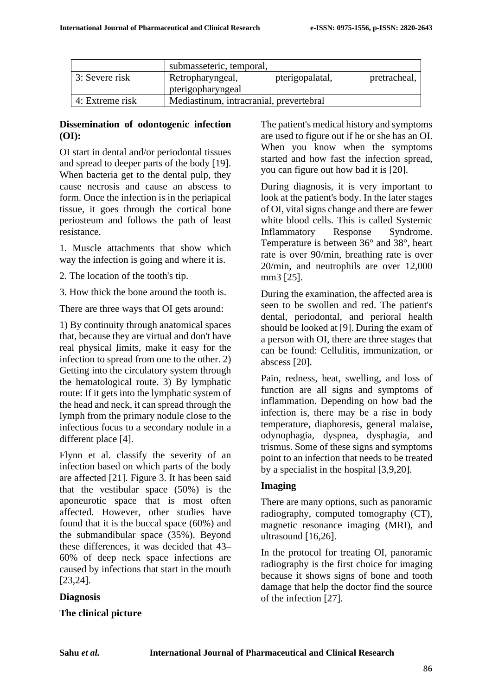|                 | submasseteric, temporal,                |                 |              |
|-----------------|-----------------------------------------|-----------------|--------------|
| 3: Severe risk  | Retropharyngeal,<br>pterigopharyngeal   | pterigopalatal, | pretracheal, |
| 4: Extreme risk | Mediastinum, intracranial, prevertebral |                 |              |

# **Dissemination of odontogenic infection (OI):**

OI start in dental and/or periodontal tissues and spread to deeper parts of the body [19]. When bacteria get to the dental pulp, they cause necrosis and cause an abscess to form. Once the infection is in the periapical tissue, it goes through the cortical bone periosteum and follows the path of least resistance.

1. Muscle attachments that show which way the infection is going and where it is.

2. The location of the tooth's tip.

3. How thick the bone around the tooth is.

There are three ways that OI gets around:

. real physical limits, make it easy for the 1) By continuity through anatomical spaces that, because they are virtual and don't have infection to spread from one to the other. 2) Getting into the circulatory system through the hematological route. 3) By lymphatic route: If it gets into the lymphatic system of the head and neck, it can spread through the lymph from the primary nodule close to the infectious focus to a secondary nodule in a different place [4].

Flynn et al. classify the severity of an infection based on which parts of the body are affected [21]. Figure 3. It has been said that the vestibular space (50%) is the aponeurotic space that is most often affected. However, other studies have found that it is the buccal space (60%) and the submandibular space (35%). Beyond these differences, it was decided that 43– 60% of deep neck space infections are caused by infections that start in the mouth [23,24].

# **Diagnosis**

# **The clinical picture**

The patient's medical history and symptoms are used to figure out if he or she has an OI. When you know when the symptoms started and how fast the infection spread, you can figure out how bad it is [20].

During diagnosis, it is very important to look at the patient's body. In the later stages of OI, vital signs change and there are fewer white blood cells. This is called Systemic Inflammatory Response Syndrome. Temperature is between 36° and 38°, heart rate is over 90/min, breathing rate is over 20/min, and neutrophils are over 12,000 mm3 [25].

During the examination, the affected area is seen to be swollen and red. The patient's dental, periodontal, and perioral health should be looked at [9]. During the exam of a person with OI, there are three stages that can be found: Cellulitis, immunization, or abscess [20].

Pain, redness, heat, swelling, and loss of function are all signs and symptoms of inflammation. Depending on how bad the infection is, there may be a rise in body temperature, diaphoresis, general malaise, odynophagia, dyspnea, dysphagia, and trismus. Some of these signs and symptoms point to an infection that needs to be treated by a specialist in the hospital [3,9,20].

# **Imaging**

There are many options, such as panoramic radiography, computed tomography (CT), magnetic resonance imaging (MRI), and ultrasound [16,26].

In the protocol for treating OI, panoramic radiography is the first choice for imaging because it shows signs of bone and tooth damage that help the doctor find the source of the infection [27].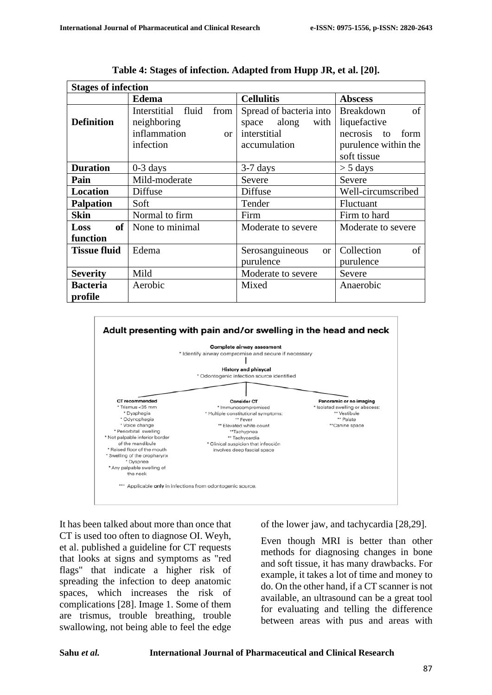| <b>Stages of infection</b> |                            |                                  |                        |  |
|----------------------------|----------------------------|----------------------------------|------------------------|--|
|                            | <b>Edema</b>               | <b>Cellulitis</b>                | <b>Abscess</b>         |  |
|                            | Interstitial fluid<br>from | Spread of bacteria into          | of<br><b>Breakdown</b> |  |
| <b>Definition</b>          | neighboring                | along<br>space<br>with           | liquefactive           |  |
|                            | inflammation<br>or         | interstitial                     | necrosis to<br>form    |  |
|                            | infection                  | accumulation                     | purulence within the   |  |
|                            |                            |                                  | soft tissue            |  |
| <b>Duration</b>            | $0-3$ days                 | $3-7$ days                       | $>$ 5 days             |  |
| Pain                       | Mild-moderate              | Severe                           | Severe                 |  |
| <b>Location</b>            | Diffuse                    | Diffuse                          | Well-circumscribed     |  |
| <b>Palpation</b>           | Soft                       | Tender                           | Fluctuant              |  |
| <b>Skin</b>                | Normal to firm             | Firm                             | Firm to hard           |  |
| of <sub>l</sub><br>Loss    | None to minimal            | Moderate to severe               | Moderate to severe     |  |
| function                   |                            |                                  |                        |  |
| <b>Tissue fluid</b>        | Edema                      | Serosanguineous<br><sub>or</sub> | Collection<br>of       |  |
|                            |                            | purulence                        | purulence              |  |
| <b>Severity</b>            | Mild                       | Moderate to severe               | Severe                 |  |
| <b>Bacteria</b>            | Aerobic                    | Mixed                            | Anaerobic              |  |
| profile                    |                            |                                  |                        |  |

**Table 4: Stages of infection. Adapted from Hupp JR, et al. [20].**



It has been talked about more than once that CT is used too often to diagnose OI. Weyh, et al. published a guideline for CT requests that looks at signs and symptoms as "red flags" that indicate a higher risk of spreading the infection to deep anatomic spaces, which increases the risk of complications [28]. Image 1. Some of them are trismus, trouble breathing, trouble swallowing, not being able to feel the edge

of the lower jaw, and tachycardia [28,29].

Even though MRI is better than other methods for diagnosing changes in bone and soft tissue, it has many drawbacks. For example, it takes a lot of time and money to do. On the other hand, if a CT scanner is not available, an ultrasound can be a great tool for evaluating and telling the difference between areas with pus and areas with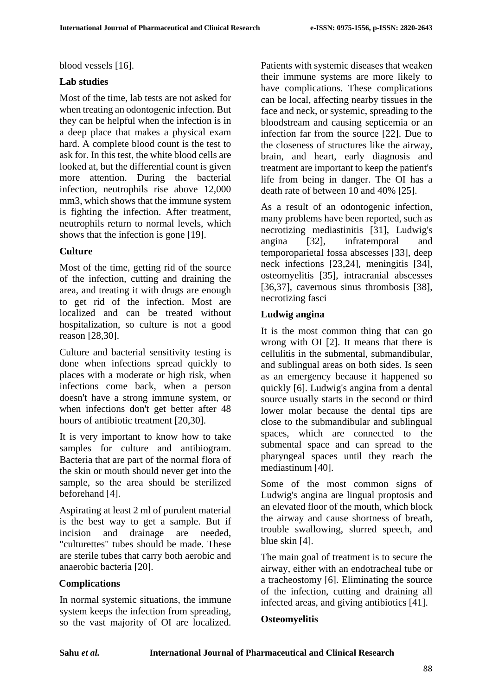blood vessels [16].

### **Lab studies**

Most of the time, lab tests are not asked for when treating an odontogenic infection. But they can be helpful when the infection is in a deep place that makes a physical exam hard. A complete blood count is the test to ask for. In this test, the white blood cells are looked at, but the differential count is given more attention. During the bacterial infection, neutrophils rise above 12,000 mm3, which shows that the immune system is fighting the infection. After treatment, neutrophils return to normal levels, which shows that the infection is gone [19].

## **Culture**

Most of the time, getting rid of the source of the infection, cutting and draining the area, and treating it with drugs are enough to get rid of the infection. Most are localized and can be treated without hospitalization, so culture is not a good reason [28,30].

Culture and bacterial sensitivity testing is done when infections spread quickly to places with a moderate or high risk, when infections come back, when a person doesn't have a strong immune system, or when infections don't get better after 48 hours of antibiotic treatment [20,30].

It is very important to know how to take samples for culture and antibiogram. Bacteria that are part of the normal flora of the skin or mouth should never get into the sample, so the area should be sterilized beforehand [4].

Aspirating at least 2 ml of purulent material is the best way to get a sample. But if incision and drainage are needed, "culturettes" tubes should be made. These are sterile tubes that carry both aerobic and anaerobic bacteria [20].

## **Complications**

In normal systemic situations, the immune system keeps the infection from spreading. so the vast majority of OI are localized. Patients with systemic diseases that weaken their immune systems are more likely to have complications. These complications can be local, affecting nearby tissues in the face and neck, or systemic, spreading to the bloodstream and causing septicemia or an infection far from the source [22]. Due to the closeness of structures like the airway, brain, and heart, early diagnosis and treatment are important to keep the patient's life from being in danger. The OI has a death rate of between 10 and 40% [25].

As a result of an odontogenic infection, many problems have been reported, such as necrotizing mediastinitis [31], Ludwig's angina [32], infratemporal and temporoparietal fossa abscesses [33], deep neck infections [23,24], meningitis [34], osteomyelitis [35], intracranial abscesses [36,37], cavernous sinus thrombosis [38], necrotizing fasci

### **Ludwig angina**

It is the most common thing that can go wrong with OI [2]. It means that there is cellulitis in the submental, submandibular, and sublingual areas on both sides. Is seen as an emergency because it happened so quickly [6]. Ludwig's angina from a dental source usually starts in the second or third lower molar because the dental tips are close to the submandibular and sublingual spaces, which are connected to the submental space and can spread to the pharyngeal spaces until they reach the mediastinum [40].

Some of the most common signs of Ludwig's angina are lingual proptosis and an elevated floor of the mouth, which block the airway and cause shortness of breath, trouble swallowing, slurred speech, and blue skin [4].

The main goal of treatment is to secure the airway, either with an endotracheal tube or a tracheostomy [6]. Eliminating the source of the infection, cutting and draining all infected areas, and giving antibiotics [41].

#### **Osteomyelitis**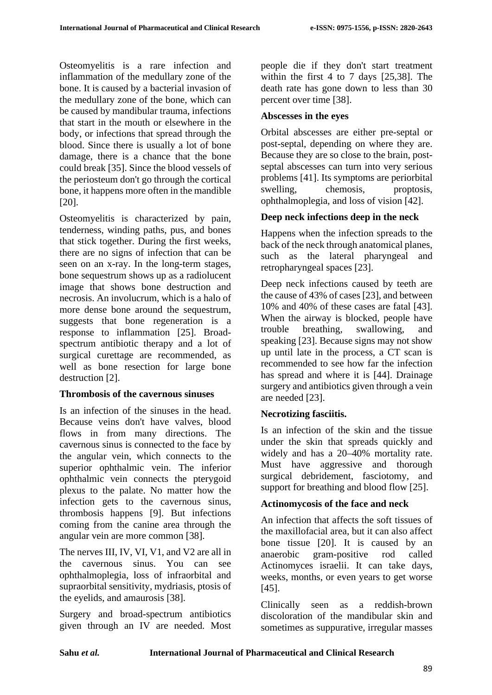Osteomyelitis is a rare infection and inflammation of the medullary zone of the bone. It is caused by a bacterial invasion of the medullary zone of the bone, which can be caused by mandibular trauma, infections that start in the mouth or elsewhere in the body, or infections that spread through the blood. Since there is usually a lot of bone damage, there is a chance that the bone could break [35]. Since the blood vessels of the periosteum don't go through the cortical bone, it happens more often in the mandible [20].

Osteomyelitis is characterized by pain, tenderness, winding paths, pus, and bones that stick together. During the first weeks, there are no signs of infection that can be seen on an x-ray. In the long-term stages, bone sequestrum shows up as a radiolucent image that shows bone destruction and necrosis. An involucrum, which is a halo of more dense bone around the sequestrum, suggests that bone regeneration is a response to inflammation [25]. Broadspectrum antibiotic therapy and a lot of surgical curettage are recommended, as well as bone resection for large bone destruction [2].

## **Thrombosis of the cavernous sinuses**

Is an infection of the sinuses in the head. Because veins don't have valves, blood flows in from many directions. The cavernous sinus is connected to the face by the angular vein, which connects to the superior ophthalmic vein. The inferior ophthalmic vein connects the pterygoid plexus to the palate. No matter how the infection gets to the cavernous sinus, thrombosis happens [9]. But infections coming from the canine area through the angular vein are more common [38].

The nerves III, IV, VI, V1, and V2 are all in the cavernous sinus. You can see ophthalmoplegia, loss of infraorbital and supraorbital sensitivity, mydriasis, ptosis of the eyelids, and amaurosis [38].

Surgery and broad-spectrum antibiotics given through an IV are needed. Most people die if they don't start treatment within the first 4 to 7 days [25,38]. The death rate has gone down to less than 30 percent over time [38].

## **Abscesses in the eyes**

Orbital abscesses are either pre-septal or post-septal, depending on where they are. Because they are so close to the brain, postseptal abscesses can turn into very serious problems [41]. Its symptoms are periorbital swelling, chemosis, proptosis, ophthalmoplegia, and loss of vision [42].

# **Deep neck infections deep in the neck**

Happens when the infection spreads to the back of the neck through anatomical planes, such as the lateral pharyngeal and retropharyngeal spaces [23].

Deep neck infections caused by teeth are the cause of 43% of cases [23], and between 10% and 40% of these cases are fatal [43]. When the airway is blocked, people have trouble breathing, swallowing, and speaking [23]. Because signs may not show up until late in the process, a CT scan is recommended to see how far the infection has spread and where it is [44]. Drainage surgery and antibiotics given through a vein are needed [23].

# **Necrotizing fasciitis.**

Is an infection of the skin and the tissue under the skin that spreads quickly and widely and has a 20–40% mortality rate. Must have aggressive and thorough surgical debridement, fasciotomy, and support for breathing and blood flow [25].

## **Actinomycosis of the face and neck**

An infection that affects the soft tissues of the maxillofacial area, but it can also affect bone tissue [20]. It is caused by an anaerobic gram-positive rod called Actinomyces israelii. It can take days, weeks, months, or even years to get worse [45].

Clinically seen as a reddish-brown discoloration of the mandibular skin and sometimes as suppurative, irregular masses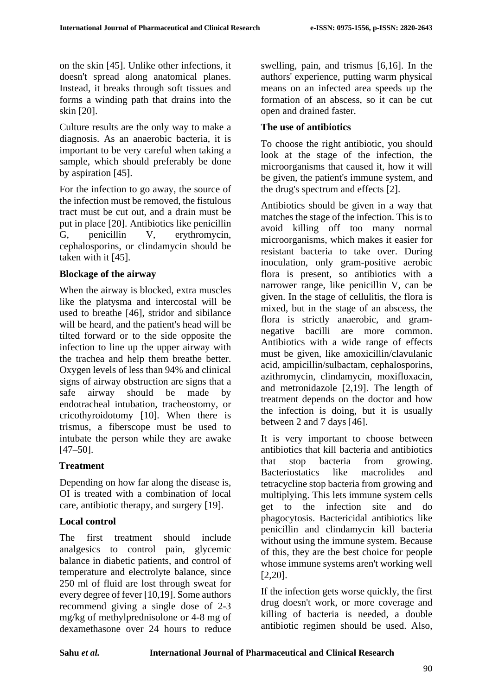on the skin [45]. Unlike other infections, it doesn't spread along anatomical planes. Instead, it breaks through soft tissues and forms a winding path that drains into the skin [20].

Culture results are the only way to make a diagnosis. As an anaerobic bacteria, it is important to be very careful when taking a sample, which should preferably be done by aspiration [45].

For the infection to go away, the source of the infection must be removed, the fistulous tract must be cut out, and a drain must be put in place [20]. Antibiotics like penicillin G, penicillin V, erythromycin, cephalosporins, or clindamycin should be taken with it [45].

## **Blockage of the airway**

When the airway is blocked, extra muscles like the platysma and intercostal will be used to breathe [46], stridor and sibilance will be heard, and the patient's head will be tilted forward or to the side opposite the infection to line up the upper airway with the trachea and help them breathe better. Oxygen levels of less than 94% and clinical signs of airway obstruction are signs that a safe airway should be made by endotracheal intubation, tracheostomy, or cricothyroidotomy [10]. When there is trismus, a fiberscope must be used to intubate the person while they are awake [47–50].

# **Treatment**

Depending on how far along the disease is, OI is treated with a combination of local care, antibiotic therapy, and surgery [19].

# **Local control**

The first treatment should include analgesics to control pain, glycemic balance in diabetic patients, and control of temperature and electrolyte balance, since 250 ml of fluid are lost through sweat for every degree of fever [10,19]. Some authors recommend giving a single dose of 2-3 mg/kg of methylprednisolone or 4-8 mg of dexamethasone over 24 hours to reduce swelling, pain, and trismus [6,16]. In the authors' experience, putting warm physical means on an infected area speeds up the formation of an abscess, so it can be cut open and drained faster.

# **The use of antibiotics**

To choose the right antibiotic, you should look at the stage of the infection, the microorganisms that caused it, how it will be given, the patient's immune system, and the drug's spectrum and effects [2].

Antibiotics should be given in a way that matches the stage of the infection. This is to avoid killing off too many normal microorganisms, which makes it easier for resistant bacteria to take over. During inoculation, only gram-positive aerobic flora is present, so antibiotics with a narrower range, like penicillin V, can be given. In the stage of cellulitis, the flora is mixed, but in the stage of an abscess, the flora is strictly anaerobic, and gramnegative bacilli are more common. Antibiotics with a wide range of effects must be given, like amoxicillin/clavulanic acid, ampicillin/sulbactam, cephalosporins, azithromycin, clindamycin, moxifloxacin, and metronidazole [2,19]. The length of treatment depends on the doctor and how the infection is doing, but it is usually between 2 and 7 days [46].

It is very important to choose between antibiotics that kill bacteria and antibiotics that stop bacteria from growing. Bacteriostatics like macrolides and tetracycline stop bacteria from growing and multiplying. This lets immune system cells get to the infection site and do phagocytosis. Bactericidal antibiotics like penicillin and clindamycin kill bacteria without using the immune system. Because of this, they are the best choice for people whose immune systems aren't working well [2,20].

If the infection gets worse quickly, the first drug doesn't work, or more coverage and killing of bacteria is needed, a double antibiotic regimen should be used. Also,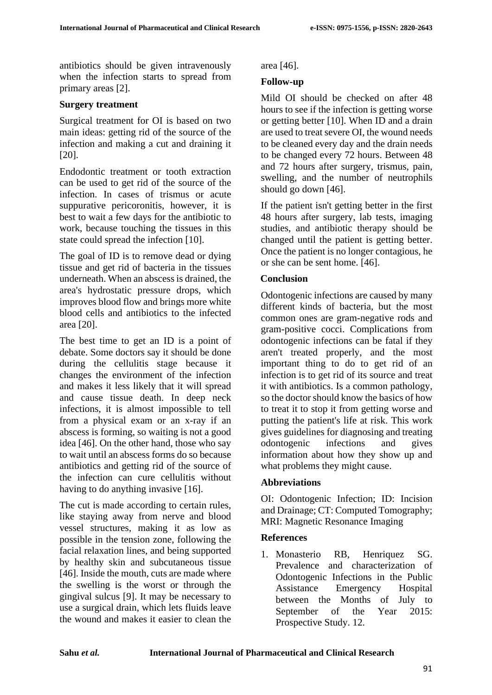antibiotics should be given intravenously when the infection starts to spread from primary areas [2].

#### **Surgery treatment**

Surgical treatment for OI is based on two main ideas: getting rid of the source of the infection and making a cut and draining it [20].

Endodontic treatment or tooth extraction can be used to get rid of the source of the infection. In cases of trismus or acute suppurative pericoronitis, however, it is best to wait a few days for the antibiotic to work, because touching the tissues in this state could spread the infection [10].

The goal of ID is to remove dead or dying tissue and get rid of bacteria in the tissues underneath. When an abscess is drained, the area's hydrostatic pressure drops, which improves blood flow and brings more white blood cells and antibiotics to the infected area [20].

The best time to get an ID is a point of debate. Some doctors say it should be done during the cellulitis stage because it changes the environment of the infection and makes it less likely that it will spread and cause tissue death. In deep neck infections, it is almost impossible to tell from a physical exam or an x-ray if an abscess is forming, so waiting is not a good idea [46]. On the other hand, those who say to wait until an abscess forms do so because antibiotics and getting rid of the source of the infection can cure cellulitis without having to do anything invasive [16].

The cut is made according to certain rules, like staying away from nerve and blood vessel structures, making it as low as possible in the tension zone, following the facial relaxation lines, and being supported by healthy skin and subcutaneous tissue [46]. Inside the mouth, cuts are made where the swelling is the worst or through the gingival sulcus [9]. It may be necessary to use a surgical drain, which lets fluids leave the wound and makes it easier to clean the

area [46].

# **Follow-up**

Mild OI should be checked on after 48 hours to see if the infection is getting worse or getting better [10]. When ID and a drain are used to treat severe OI, the wound needs to be cleaned every day and the drain needs to be changed every 72 hours. Between 48 and 72 hours after surgery, trismus, pain, swelling, and the number of neutrophils should go down [46].

If the patient isn't getting better in the first 48 hours after surgery, lab tests, imaging studies, and antibiotic therapy should be changed until the patient is getting better. Once the patient is no longer contagious, he or she can be sent home. [46].

## **Conclusion**

Odontogenic infections are caused by many different kinds of bacteria, but the most common ones are gram-negative rods and gram-positive cocci. Complications from odontogenic infections can be fatal if they aren't treated properly, and the most important thing to do to get rid of an infection is to get rid of its source and treat it with antibiotics. Is a common pathology, so the doctor should know the basics of how to treat it to stop it from getting worse and putting the patient's life at risk. This work gives guidelines for diagnosing and treating odontogenic infections and gives information about how they show up and what problems they might cause.

## **Abbreviations**

OI: Odontogenic Infection; ID: Incision and Drainage; CT: Computed Tomography; MRI: Magnetic Resonance Imaging

#### **References**

1. Monasterio RB, Henriquez SG. Prevalence and characterization of Odontogenic Infections in the Public Assistance Emergency Hospital between the Months of July to September of the Year 2015: Prospective Study. 12.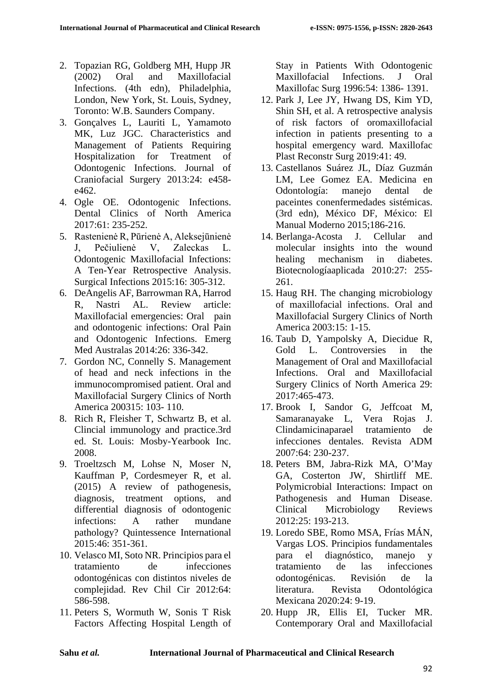- 2. Topazian RG, Goldberg MH, Hupp JR (2002) Oral and Maxillofacial Infections. (4th edn), Philadelphia, London, New York, St. Louis, Sydney, Toronto: W.B. Saunders Company.
- 3. Gonçalves L, Lauriti L, Yamamoto MK, Luz JGC. Characteristics and Management of Patients Requiring Hospitalization for Treatment of Odontogenic Infections. Journal of Craniofacial Surgery 2013:24: e458 e462.
- 4. Ogle OE. Odontogenic Infections. Dental Clinics of North America 2017:61: 235-252.
- 5. Rastenienė R, Pūrienė A, Aleksejūnienė J, Pečiulienė V, Zaleckas L. Odontogenic Maxillofacial Infections: A Ten-Year Retrospective Analysis. Surgical Infections 2015:16: 305-312.
- 6. DeAngelis AF, Barrowman RA, Harrod R, Nastri AL. Review article: Maxillofacial emergencies: Oral pain and odontogenic infections: Oral Pain and Odontogenic Infections. Emerg Med Australas 2014:26: 336-342.
- 7. Gordon NC, Connelly S. Management of head and neck infections in the immunocompromised patient. Oral and Maxillofacial Surgery Clinics of North America 200315: 103- 110.
- 8. Rich R, Fleisher T, Schwartz B, et al. Clincial immunology and practice.3rd ed. St. Louis: Mosby-Yearbook Inc. 2008.
- 9. Troeltzsch M, Lohse N, Moser N, Kauffman P, Cordesmeyer R, et al. (2015) A review of pathogenesis, diagnosis, treatment options, and differential diagnosis of odontogenic infections: A rather mundane pathology? Quintessence International 2015:46: 351-361.
- 10. Velasco MI, Soto NR. Principios para el tratamiento de infecciones odontogénicas con distintos niveles de complejidad. Rev Chil Cir 2012:64: 586-598.
- 11. Peters S, Wormuth W, Sonis T Risk Factors Affecting Hospital Length of

Stay in Patients With Odontogenic Maxillofacial Infections. J Oral Maxillofac Surg 1996:54: 1386- 1391.

- 12. Park J, Lee JY, Hwang DS, Kim YD, Shin SH, et al. A retrospective analysis of risk factors of oromaxillofacial infection in patients presenting to a hospital emergency ward. Maxillofac Plast Reconstr Surg 2019:41: 49.
- 13. Castellanos Suárez JL, Díaz Guzmán LM, Lee Gomez EA. Medicina en Odontología: manejo dental de paceintes conenfermedades sistémicas. (3rd edn), México DF, México: El Manual Moderno 2015;186-216.
- 14. Berlanga-Acosta J. Cellular and molecular insights into the wound<br>healing mechanism in diabetes. mechanism in diabetes. Biotecnologíaaplicada 2010:27: 255- 261.
- 15. Haug RH. The changing microbiology of maxillofacial infections. Oral and Maxillofacial Surgery Clinics of North America 2003:15: 1-15.
- 16. Taub D, Yampolsky A, Diecidue R, Gold L. Controversies in the Management of Oral and Maxillofacial Infections. Oral and Maxillofacial Surgery Clinics of North America 29: 2017:465-473.
- 17. Brook I, Sandor G, Jeffcoat M, Samaranayake L, Vera Rojas J. Clindamicinaparael tratamiento de infecciones dentales. Revista ADM 2007:64: 230-237.
- 18. Peters BM, Jabra-Rizk MA, O'May GA, Costerton JW, Shirtliff ME. Polymicrobial Interactions: Impact on Pathogenesis and Human Disease. Clinical Microbiology Reviews 2012:25: 193-213.
- 19. Loredo SBE, Romo MSA, Frías MÁN, Vargas LOS. Principios fundamentales para el diagnóstico, manejo y tratamiento de las infecciones odontogénicas. Revisión de la literatura. Revista Odontológica Mexicana 2020:24: 9-19.
- 20. Hupp JR, Ellis EI, Tucker MR. Contemporary Oral and Maxillofacial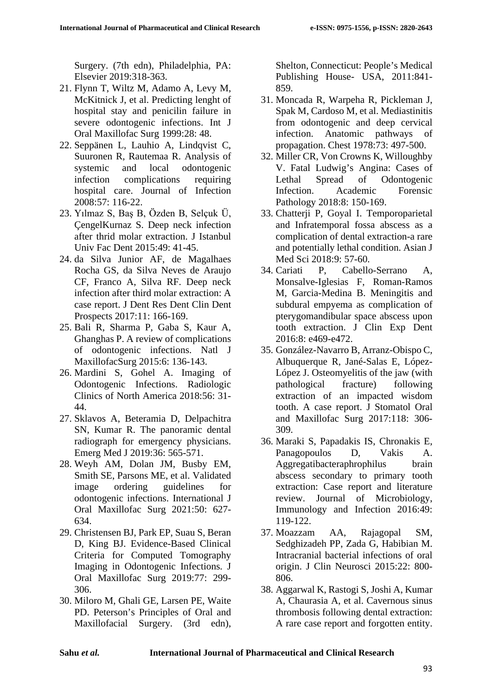Surgery. (7th edn), Philadelphia, PA: Elsevier 2019:318-363.

- 21. Flynn T, Wiltz M, Adamo A, Levy M, McKitnick J, et al. Predicting lenght of hospital stay and penicilin failure in severe odontogenic infections. Int J Oral Maxillofac Surg 1999:28: 48.
- 22. Seppänen L, Lauhio A, Lindqvist C, Suuronen R, Rautemaa R. Analysis of systemic and local odontogenic infection complications requiring hospital care. Journal of Infection 2008:57: 116-22.
- 23. Yılmaz S, Baş B, Özden B, Selçuk Ü, ÇengelKurnaz S. Deep neck infection after thrid molar extraction. J Istanbul Univ Fac Dent 2015:49: 41-45.
- 24. da Silva Junior AF, de Magalhaes Rocha GS, da Silva Neves de Araujo CF, Franco A, Silva RF. Deep neck infection after third molar extraction: A case report. J Dent Res Dent Clin Dent Prospects 2017:11: 166-169.
- 25. Bali R, Sharma P, Gaba S, Kaur A, Ghanghas P. A review of complications of odontogenic infections. Natl J MaxillofacSurg 2015:6: 136-143.
- 26. Mardini S, Gohel A. Imaging of Odontogenic Infections. Radiologic Clinics of North America 2018:56: 31- 44.
- 27. Sklavos A, Beteramia D, Delpachitra SN, Kumar R. The panoramic dental radiograph for emergency physicians. Emerg Med J 2019:36: 565-571.
- 28. Weyh AM, Dolan JM, Busby EM, Smith SE, Parsons ME, et al. Validated image ordering guidelines for odontogenic infections. International J Oral Maxillofac Surg 2021:50: 627- 634.
- 29. Christensen BJ, Park EP, Suau S, Beran D, King BJ. Evidence-Based Clinical Criteria for Computed Tomography Imaging in Odontogenic Infections. J Oral Maxillofac Surg 2019:77: 299- 306.
- 30. Miloro M, Ghali GE, Larsen PE, Waite PD. Peterson's Principles of Oral and Maxillofacial Surgery. (3rd edn),

Shelton, Connecticut: People's Medical Publishing House- USA, 2011:841- 859.

- 31. Moncada R, Warpeha R, Pickleman J, Spak M, Cardoso M, et al. Mediastinitis from odontogenic and deep cervical infection. Anatomic pathways of propagation. Chest 1978:73: 497-500.
- 32. Miller CR, Von Crowns K, Willoughby V. Fatal Ludwig's Angina: Cases of Lethal Spread of Odontogenic Infection. Academic Forensic Pathology 2018:8: 150-169.
- 33. Chatterji P, Goyal I. Temporoparietal and Infratemporal fossa abscess as a complication of dental extraction-a rare and potentially lethal condition. Asian J Med Sci 2018:9: 57-60.
- 34. Cariati P, Cabello-Serrano A, Monsalve-Iglesias F, Roman-Ramos M, Garcia-Medina B. Meningitis and subdural empyema as complication of pterygomandibular space abscess upon tooth extraction. J Clin Exp Dent 2016:8: e469-e472.
- 35. González-Navarro B, Arranz-Obispo C, Albuquerque R, Jané-Salas E, López-López J. Osteomyelitis of the jaw (with pathological fracture) following extraction of an impacted wisdom tooth. A case report. J Stomatol Oral and Maxillofac Surg 2017:118: 306- 309.
- 36. Maraki S, Papadakis IS, Chronakis E, Panagopoulos D, Vakis A. Aggregatibacteraphrophilus brain abscess secondary to primary tooth extraction: Case report and literature review. Journal of Microbiology, Immunology and Infection 2016:49: 119-122.
- 37. Moazzam AA, Rajagopal SM, Sedghizadeh PP, Zada G, Habibian M. Intracranial bacterial infections of oral origin. J Clin Neurosci 2015:22: 800- 806.
- 38. Aggarwal K, Rastogi S, Joshi A, Kumar A, Chaurasia A, et al. Cavernous sinus thrombosis following dental extraction: A rare case report and forgotten entity.